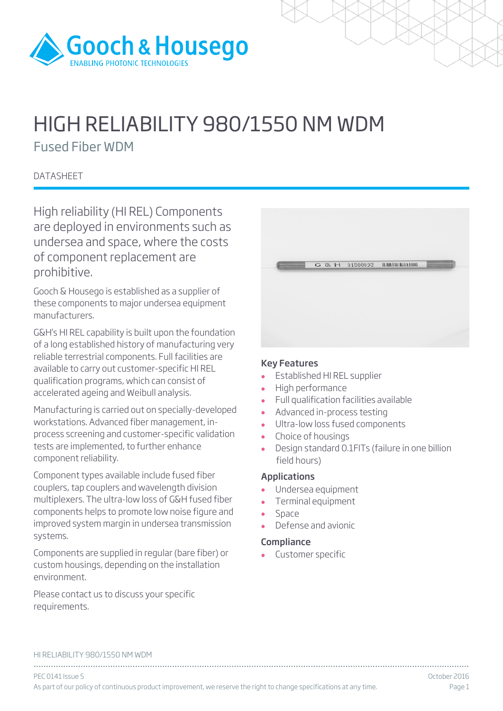

# HIGH RELIABILITY 980/1550 NM WDM

Fused Fiber WDM

## **DATASHEET**

High reliability (HI REL) Components are deployed in environments such as undersea and space, where the costs of component replacement are prohibitive.

Gooch & Housego is established as a supplier of these components to major undersea equipment manufacturers.

G&H's HI REL capability is built upon the foundation of a long established history of manufacturing very reliable terrestrial components. Full facilities are available to carry out customer-specific HI REL qualification programs, which can consist of accelerated ageing and Weibull analysis.

Manufacturing is carried out on specially-developed workstations. Advanced fiber management, inprocess screening and customer-specific validation tests are implemented, to further enhance component reliability.

Component types available include fused fiber couplers, tap couplers and wavelength division multiplexers. The ultra-low loss of G&H fused fiber components helps to promote low noise figure and improved system margin in undersea transmission systems.

Components are supplied in regular (bare fiber) or custom housings, depending on the installation environment.

Please contact us to discuss your specific requirements.

#### Key Features

- Established HI REL supplier
- High performance
- Full qualification facilities available
- Advanced in-process testing
- Ultra-low loss fused components
- Choice of housings<br>• Design standard 0.
- Design standard 0.1FITs (failure in one billion field hours)

## Applications

- Undersea equipment
- Terminal equipment
- Space
- Defense and avionic

## **Compliance**

Customer specific

#### HI RELIABILITY 980/1550 NM WDM

................................................................................................................................................................................ PEC 0141 Issue 5 October 2016 As part of our policy of continuous product improvement, we reserve the right to change specifications at any time. Page 1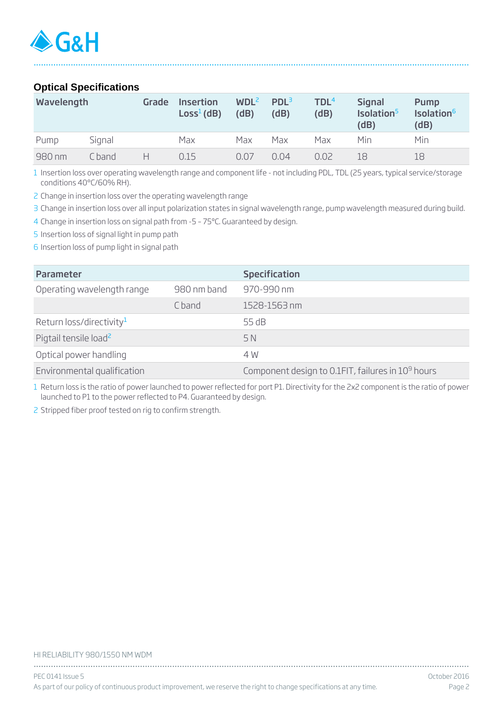## **Optical Specifications**

| Wavelength |        | Grade | <b>Insertion</b><br>$Loss1$ (dB) | WDL <sup>2</sup><br>(dB) | PDL <sup>3</sup><br>(dB) | TDL <sup>4</sup><br>(dB) | <b>Signal</b><br>Isolation <sup>5</sup><br>(dB) | <b>Pump</b><br>Isolation <sup>6</sup><br>(dB) |
|------------|--------|-------|----------------------------------|--------------------------|--------------------------|--------------------------|-------------------------------------------------|-----------------------------------------------|
| Pump       | Signal |       | Max                              | Max                      | Max                      | Max                      | Min                                             | Min                                           |
| 980 nm     | C hand | н     | 0.15                             | 0.07                     | 0.04                     | 0.02                     | 18                                              | 18                                            |

................................................................................................................................................................................

1 Insertion loss over operating wavelength range and component life - not including PDL, TDL (25 years, typical service/storage conditions 40°C/60% RH).

2 Change in insertion loss over the operating wavelength range

3 Change in insertion loss over all input polarization states in signal wavelength range, pump wavelength measured during build.

4 Change in insertion loss on signal path from -5 – 75ºC. Guaranteed by design.

5 Insertion loss of signal light in pump path

6 Insertion loss of pump light in signal path

| Parameter                            |             | <b>Specification</b>                                          |
|--------------------------------------|-------------|---------------------------------------------------------------|
| Operating wavelength range           | 980 nm band | 970-990 nm                                                    |
|                                      | C band      | 1528-1563 nm                                                  |
| Return loss/directivity <sup>1</sup> |             | 55 dB                                                         |
| Pigtail tensile load <sup>2</sup>    |             | 5 N                                                           |
| Optical power handling               |             | 4 W                                                           |
| Environmental qualification          |             | Component design to 0.1FIT, failures in 10 <sup>9</sup> hours |

1 Return loss is the ratio of power launched to power reflected for port P1. Directivity for the 2x2 component is the ratio of power launched to P1 to the power reflected to P4. Guaranteed by design.

2 Stripped fiber proof tested on rig to confirm strength.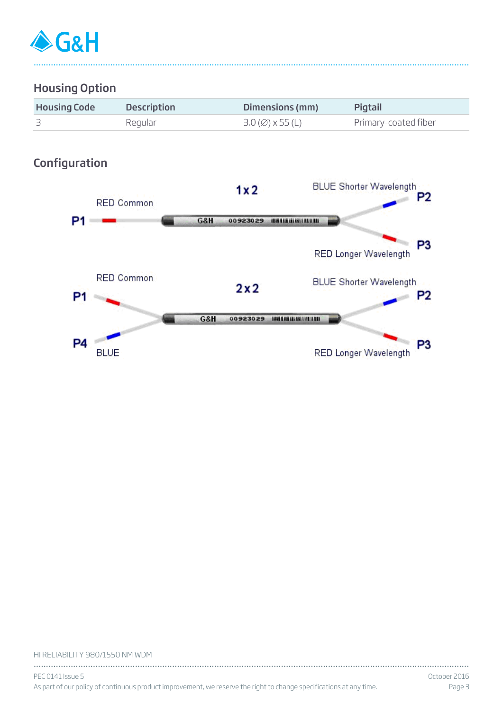

## Housing Option

| <b>Housing Code</b> | <b>Description</b> | Dimensions (mm)                                | Pigtail              |
|---------------------|--------------------|------------------------------------------------|----------------------|
|                     | Regular            | $3.0 \, (\emptyset) \times 55 \, (\mathsf{L})$ | Primary-coated fiber |

................................................................................................................................................................................

# Configuration